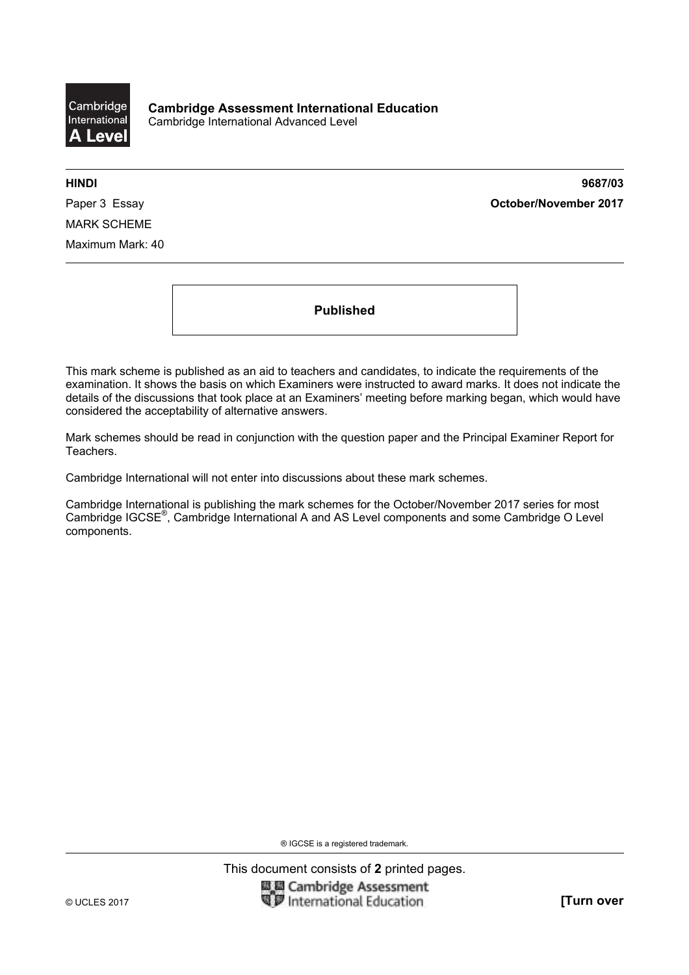

**HINDI 9687/03**  Paper 3 Essay **October/November 2017**

MARK SCHEME Maximum Mark: 40

**Published** 

This mark scheme is published as an aid to teachers and candidates, to indicate the requirements of the examination. It shows the basis on which Examiners were instructed to award marks. It does not indicate the details of the discussions that took place at an Examiners' meeting before marking began, which would have considered the acceptability of alternative answers.

Mark schemes should be read in conjunction with the question paper and the Principal Examiner Report for Teachers.

Cambridge International will not enter into discussions about these mark schemes.

Cambridge International is publishing the mark schemes for the October/November 2017 series for most Cambridge IGCSE®, Cambridge International A and AS Level components and some Cambridge O Level components.

® IGCSE is a registered trademark.